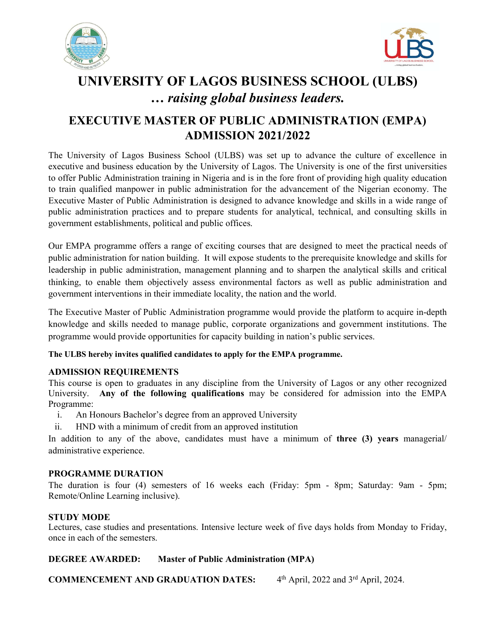



# UNIVERSITY OF LAGOS BUSINESS SCHOOL (ULBS) … raising global business leaders.

## EXECUTIVE MASTER OF PUBLIC ADMINISTRATION (EMPA) ADMISSION 2021/2022

The University of Lagos Business School (ULBS) was set up to advance the culture of excellence in executive and business education by the University of Lagos. The University is one of the first universities to offer Public Administration training in Nigeria and is in the fore front of providing high quality education to train qualified manpower in public administration for the advancement of the Nigerian economy. The Executive Master of Public Administration is designed to advance knowledge and skills in a wide range of public administration practices and to prepare students for analytical, technical, and consulting skills in government establishments, political and public offices.

Our EMPA programme offers a range of exciting courses that are designed to meet the practical needs of public administration for nation building. It will expose students to the prerequisite knowledge and skills for leadership in public administration, management planning and to sharpen the analytical skills and critical thinking, to enable them objectively assess environmental factors as well as public administration and government interventions in their immediate locality, the nation and the world.

The Executive Master of Public Administration programme would provide the platform to acquire in-depth knowledge and skills needed to manage public, corporate organizations and government institutions. The programme would provide opportunities for capacity building in nation's public services.

#### The ULBS hereby invites qualified candidates to apply for the EMPA programme.

#### ADMISSION REQUIREMENTS

This course is open to graduates in any discipline from the University of Lagos or any other recognized University. Any of the following qualifications may be considered for admission into the EMPA Programme:

- i. An Honours Bachelor's degree from an approved University
- ii. HND with a minimum of credit from an approved institution

In addition to any of the above, candidates must have a minimum of **three (3) years** managerial/ administrative experience.

#### PROGRAMME DURATION

The duration is four (4) semesters of 16 weeks each (Friday: 5pm - 8pm; Saturday: 9am - 5pm; Remote/Online Learning inclusive).

STUDY MODE<br>Lectures, case studies and presentations. Intensive lecture week of five days holds from Monday to Friday, once in each of the semesters.

#### DEGREE AWARDED: Master of Public Administration (MPA)

COMMENCEMENT AND GRADUATION DATES: 4  $4<sup>th</sup>$  April, 2022 and  $3<sup>rd</sup>$  April, 2024.